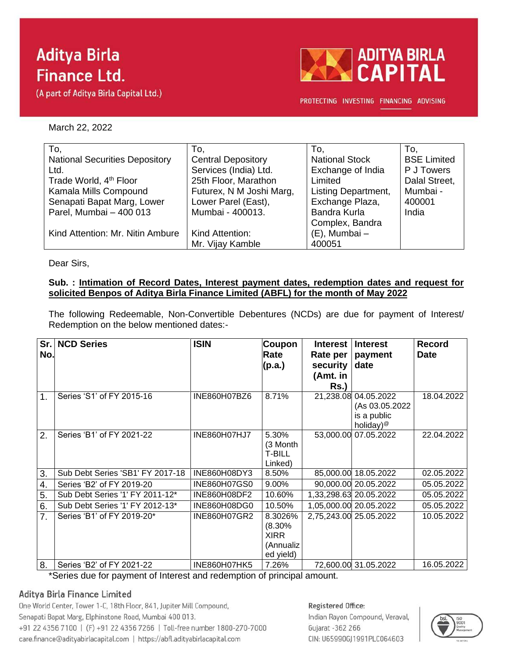# **Aditya Birla Finance Ltd.**

(A part of Aditya Birla Capital Ltd.)



PROTECTING INVESTING FINANCING ADVISING

March 22, 2022

| To,                                   | To,                       | To.                        | To.                |
|---------------------------------------|---------------------------|----------------------------|--------------------|
| <b>National Securities Depository</b> | <b>Central Depository</b> | <b>National Stock</b>      | <b>BSE Limited</b> |
| Ltd.                                  | Services (India) Ltd.     | Exchange of India          | P J Towers         |
| Trade World, 4 <sup>th</sup> Floor    | 25th Floor, Marathon      | Limited                    | Dalal Street,      |
| Kamala Mills Compound                 | Futurex, N M Joshi Marg,  | <b>Listing Department,</b> | Mumbai -           |
| Senapati Bapat Marg, Lower            | Lower Parel (East),       | Exchange Plaza,            | 400001             |
| Parel, Mumbai - 400 013               | Mumbai - 400013.          | Bandra Kurla               | India              |
|                                       |                           | Complex, Bandra            |                    |
| Kind Attention: Mr. Nitin Ambure      | Kind Attention:           | $(E)$ , Mumbai -           |                    |
|                                       | Mr. Vijay Kamble          | 400051                     |                    |

Dear Sirs,

### **Sub. : Intimation of Record Dates, Interest payment dates, redemption dates and request for solicited Benpos of Aditya Birla Finance Limited (ABFL) for the month of May 2022**

The following Redeemable, Non-Convertible Debentures (NCDs) are due for payment of Interest/ Redemption on the below mentioned dates:-

| Sr.<br>No.    | <b>NCD Series</b>                      | <b>ISIN</b>         | Coupon<br>Rate<br>(p.a.)                                   | <b>Interest</b><br>Rate per<br>security<br>(Amt. in<br>$Rs.$ ) | <b>Interest</b><br>payment<br>date                                             | <b>Record</b><br><b>Date</b> |
|---------------|----------------------------------------|---------------------|------------------------------------------------------------|----------------------------------------------------------------|--------------------------------------------------------------------------------|------------------------------|
| $\mathbf 1$ . | Series 'S1' of FY 2015-16              | INE860H07BZ6        | 8.71%                                                      |                                                                | 21,238.08 04.05.2022<br>(As 03.05.2022<br>is a public<br>holiday) <sup>@</sup> | 18.04.2022                   |
| 2.            | Series 'B1' of FY 2021-22              | <b>INE860H07HJ7</b> | 5.30%<br>(3 Month<br><b>T-BILL</b><br>Linked)              |                                                                | 53,000.00 07.05.2022                                                           | 22.04.2022                   |
| 3.            | Sub Debt Series 'SB1' FY 2017-18       | INE860H08DY3        | 8.50%                                                      |                                                                | 85,000.00 18.05.2022                                                           | 02.05.2022                   |
| 4.            | Series 'B2' of FY 2019-20              | <b>INE860H07GS0</b> | 9.00%                                                      |                                                                | 90,000.00 20.05.2022                                                           | 05.05.2022                   |
| 5.            | Sub Debt Series '1' FY 2011-12*        | INE860H08DF2        | 10.60%                                                     |                                                                | 1,33,298.63 20.05.2022                                                         | 05.05.2022                   |
| 6.            | Sub Debt Series '1' FY 2012-13*        | INE860H08DG0        | 10.50%                                                     |                                                                | 1,05,000.00 20.05.2022                                                         | 05.05.2022                   |
| 7.            | Series 'B1' of FY 2019-20*             | INE860H07GR2        | 8.3026%<br>(8.30%<br><b>XIRR</b><br>(Annualiz<br>ed yield) |                                                                | 2,75,243.00 25.05.2022                                                         | 10.05.2022                   |
| 8.            | Series 'B2' of FY 2021-22<br>$\cdot$ . | INE860H07HK5        | 7.26%                                                      |                                                                | 72,600.00 31.05.2022                                                           | 16.05.2022                   |

\*Series due for payment of Interest and redemption of principal amount.

# Aditya Birla Finance Limited

One World Center, Tower 1-C, 18th Floor, 841, Jupiter Mill Compound, Senapati Bapat Marg, Elphinstone Road, Mumbai 400 013. +91 22 4356 7100 | (F) +91 22 4356 7266 | Toll-free number 1800-270-7000 care.finance@adityabirlacapital.com | https://abfl.adityabirlacapital.com

#### Registered Office:

Indian Rayon Compound, Veraval, Gujarat - 362 266 CIN: U65990GJ1991PLC064603